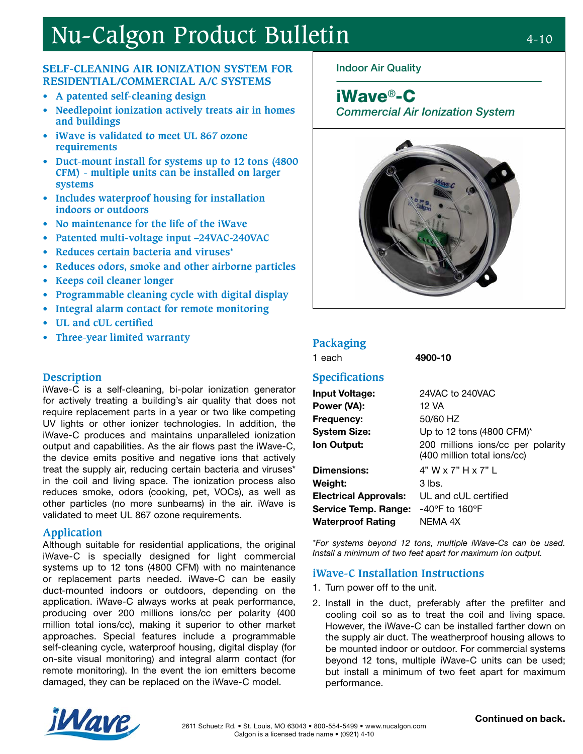# Nu-Calgon Product Bulletin 4-10

### **SELF-CLEANING AIR IONIZATION SYSTEM FOR RESIDENTIAL/COMMERCIAL A/C SYSTEMS**

- **• A patented self-cleaning design**
- **• Needlepoint ionization actively treats air in homes and buildings**
- **• iWave is validated to meet UL 867 ozone requirements**
- **• Duct-mount install for systems up to 12 tons (4800 CFM) - multiple units can be installed on larger systems**
- **• Includes waterproof housing for installation indoors or outdoors**
- **• No maintenance for the life of the iWave**
- **• Patented multi-voltage input –24VAC-240VAC**
- **• Reduces certain bacteria and viruses\***
- **• Reduces odors, smoke and other airborne particles**
- **• Keeps coil cleaner longer**
- **• Programmable cleaning cycle with digital display**
- **• Integral alarm contact for remote monitoring**
- **• UL and cUL certified**
- **• Three-year limited warranty Packaging**

#### **Description**

iWave-C is a self-cleaning, bi-polar ionization generator for actively treating a building's air quality that does not require replacement parts in a year or two like competing UV lights or other ionizer technologies. In addition, the iWave-C produces and maintains unparalleled ionization output and capabilities. As the air flows past the iWave-C, the device emits positive and negative ions that actively treat the supply air, reducing certain bacteria and viruses\* in the coil and living space. The ionization process also reduces smoke, odors (cooking, pet, VOCs), as well as other particles (no more sunbeams) in the air. iWave is validated to meet UL 867 ozone requirements.

#### **Application**

Although suitable for residential applications, the original iWave-C is specially designed for light commercial systems up to 12 tons (4800 CFM) with no maintenance or replacement parts needed. iWave-C can be easily duct-mounted indoors or outdoors, depending on the application. iWave-C always works at peak performance, producing over 200 millions ions/cc per polarity (400 million total ions/cc), making it superior to other market approaches. Special features include a programmable self-cleaning cycle, waterproof housing, digital display (for on-site visual monitoring) and integral alarm contact (for remote monitoring). In the event the ion emitters become damaged, they can be replaced on the iWave-C model.

### Indoor Air Quality

iWave®-C

Commercial Air Ionization System



1 each 4900-10

#### **Specifications**

| <b>Input Voltage:</b>        | 24VAC to 240VAC                                                  |
|------------------------------|------------------------------------------------------------------|
|                              |                                                                  |
| Power (VA):                  | 12 VA                                                            |
| Frequency:                   | 50/60 HZ                                                         |
| <b>System Size:</b>          | Up to 12 tons (4800 CFM)*                                        |
| Ion Output:                  | 200 millions ions/cc per polarity<br>(400 million total ions/cc) |
| <b>Dimensions:</b>           | 4" W x 7" H x 7" L                                               |
| Weight:                      | $3$ lbs.                                                         |
| <b>Electrical Approvals:</b> | UL and cUL certified                                             |
| <b>Service Temp. Range:</b>  | $-40^{\circ}$ F to 160°F                                         |
| <b>Waterproof Rating</b>     | NEMA 4X                                                          |

\*For systems beyond 12 tons, multiple iWave-Cs can be used. Install a minimum of two feet apart for maximum ion output.

#### **iWave-C Installation Instructions**

- 1. Turn power off to the unit.
- 2. Install in the duct, preferably after the prefilter and cooling coil so as to treat the coil and living space. However, the iWave-C can be installed farther down on the supply air duct. The weatherproof housing allows to be mounted indoor or outdoor. For commercial systems beyond 12 tons, multiple iWave-C units can be used; but install a minimum of two feet apart for maximum performance.